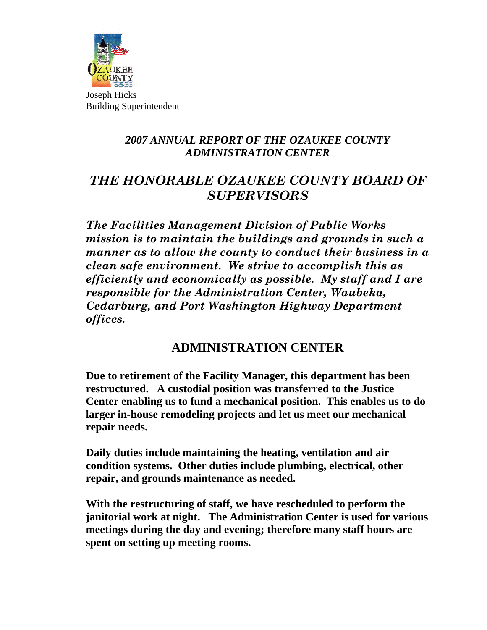

Joseph Hicks Building Superintendent

## *2007 ANNUAL REPORT OF THE OZAUKEE COUNTY ADMINISTRATION CENTER*

## *THE HONORABLE OZAUKEE COUNTY BOARD OF SUPERVISORS*

*The Facilities Management Division of Public Works mission is to maintain the buildings and grounds in such a manner as to allow the county to conduct their business in a clean safe environment. We strive to accomplish this as efficiently and economically as possible. My staff and I are responsible for the Administration Center, Waubeka, Cedarburg, and Port Washington Highway Department offices.* 

## **ADMINISTRATION CENTER**

**Due to retirement of the Facility Manager, this department has been restructured. A custodial position was transferred to the Justice Center enabling us to fund a mechanical position. This enables us to do larger in-house remodeling projects and let us meet our mechanical repair needs.** 

**Daily duties include maintaining the heating, ventilation and air condition systems. Other duties include plumbing, electrical, other repair, and grounds maintenance as needed.** 

**With the restructuring of staff, we have rescheduled to perform the janitorial work at night. The Administration Center is used for various meetings during the day and evening; therefore many staff hours are spent on setting up meeting rooms.**